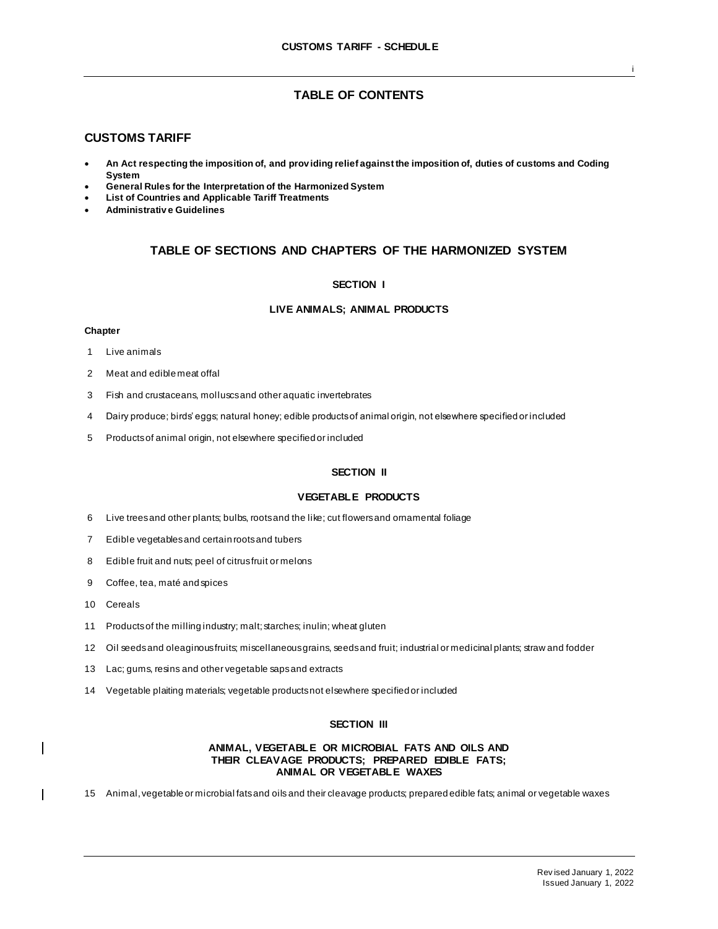# **TABLE OF CONTENTS**

## **CUSTOMS TARIFF**

- **An Act respecting the imposition of, and prov iding relief against the imposition of, duties of customs and Coding System**
- **General Rules for the Interpretation of the Harmonized System**
- **List of Countries and Applicable Tariff Treatments**
- **Administrativ e Guidelines**

# **TABLE OF SECTIONS AND CHAPTERS OF THE HARMONIZED SYSTEM**

## **SECTION I**

## **LIVE ANIMALS; ANIMAL PRODUCTS**

### **Chapter**

- 1 Live animals
- 2 Meat and edible meat offal
- 3 Fish and crustaceans, molluscs and other aquatic invertebrates
- 4 Dairy produce; birds' eggs; natural honey; edible products of animal origin, not elsewhere specified or included
- 5 Products of animal origin, not elsewhere specified or included

# **SECTION II**

## **VEGETABLE PRODUCTS**

- 6 Live trees and other plants; bulbs, roots and the like; cut flowers and ornamental foliage
- 7 Edible vegetables and certain roots and tubers
- 8 Edible fruit and nuts; peel of citrus fruit or melons
- 9 Coffee, tea, maté and spices
- 10 Cereals

 $\overline{\phantom{a}}$ 

 $\mathbf{I}$ 

- 11 Products of the milling industry; malt; starches; inulin; wheat gluten
- 12 Oil seeds and oleaginous fruits; miscellaneous grains, seeds and fruit; industrial or medicinal plants; straw and fodder
- 13 Lac; gums, resins and other vegetable saps and extracts
- 14 Vegetable plaiting materials; vegetable products not elsewhere specified or included

### **SECTION III**

## **ANIMAL, VEGETABLE OR MICROBIAL FATS AND OILS AND THEIR CLEAVAGE PRODUCTS; PREPARED EDIBLE FATS; ANIMAL OR VEGETABLE WAXES**

15 Animal, vegetable or microbial fats and oils and their cleavage products; prepared edible fats; animal or vegetable waxes

i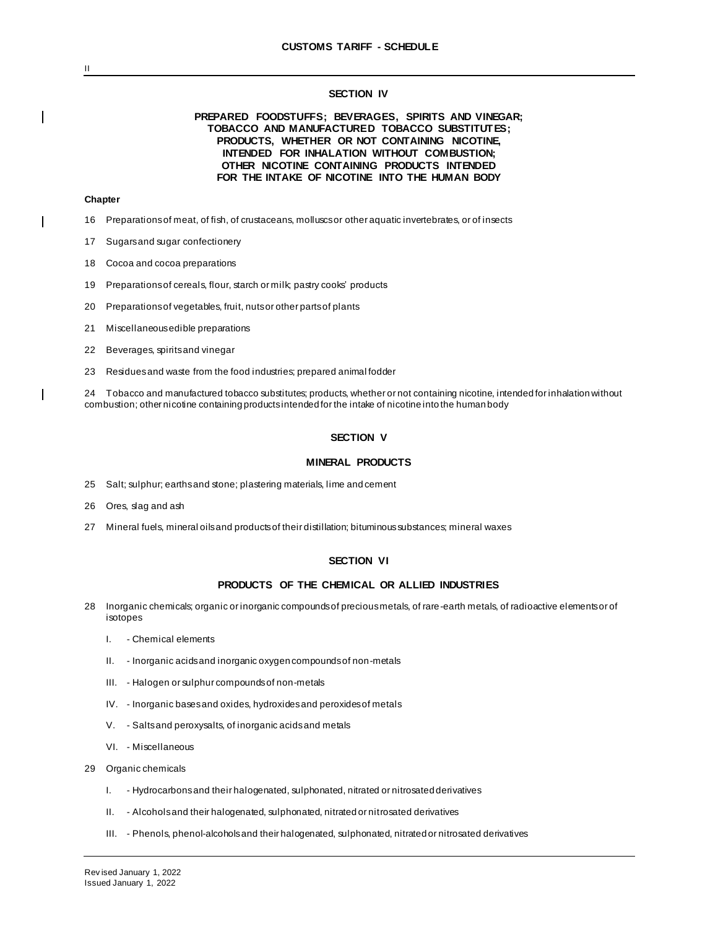### **SECTION IV**

## **PREPARED FOODSTUFFS; BEVERAGES, SPIRITS AND VINEGAR; TOBACCO AND MANUFACTURED TOBACCO SUBSTITUTES; PRODUCTS, WHETHER OR NOT CONTAINING NICOTINE, INTENDED FOR INHALATION WITHOUT COMBUSTION; OTHER NICOTINE CONTAINING PRODUCTS INTENDED FOR THE INTAKE OF NICOTINE INTO THE HUMAN BODY**

### **Chapter**

- 16 Preparations of meat, of fish, of crustaceans, molluscs or other aquatic invertebrates, or of insects
- 17 Sugars and sugar confectionery
- 18 Cocoa and cocoa preparations
- 19 Preparations of cereals, flour, starch or milk; pastry cooks' products
- 20 Preparations of vegetables, fruit, nuts or other parts of plants
- 21 Miscellaneous edible preparations
- 22 Beverages, spirits and vinegar
- 23 Residues and waste from the food industries; prepared animal fodder

24 Tobacco and manufactured tobacco substitutes; products, whether or not containing nicotine, intended for inhalation without combustion; other nicotine containing products intended for the intake of nicotine into the human body

### **SECTION V**

#### **MINERAL PRODUCTS**

- 25 Salt; sulphur; earths and stone; plastering materials, lime and cement
- 26 Ores, slag and ash
- 27 Mineral fuels, mineral oils and products of their distillation; bituminous substances; mineral waxes

## **SECTION VI**

### **PRODUCTS OF THE CHEMICAL OR ALLIED INDUSTRIES**

- 28 Inorganic chemicals; organic or inorganic compounds of precious metals, of rare-earth metals, of radioactive elements or of isotopes
	- I. Chemical elements
	- II. Inorganic acids and inorganic oxygen compounds of non-metals
	- III. Halogen or sulphur compounds of non-metals
	- IV. Inorganic bases and oxides, hydroxides and peroxides of metals
	- V. Salts and peroxysalts, of inorganic acids and metals
	- VI. Miscellaneous
- 29 Organic chemicals
	- I. Hydrocarbons and their halogenated, sulphonated, nitrated or nitrosated derivatives
	- II. Alcohols and their halogenated, sulphonated, nitrated or nitrosated derivatives
	- III. Phenols, phenol-alcohols and their halogenated, sulphonated, nitrated or nitrosated derivatives

II

 $\overline{\phantom{a}}$ 

 $\blacksquare$ 

 $\overline{\phantom{a}}$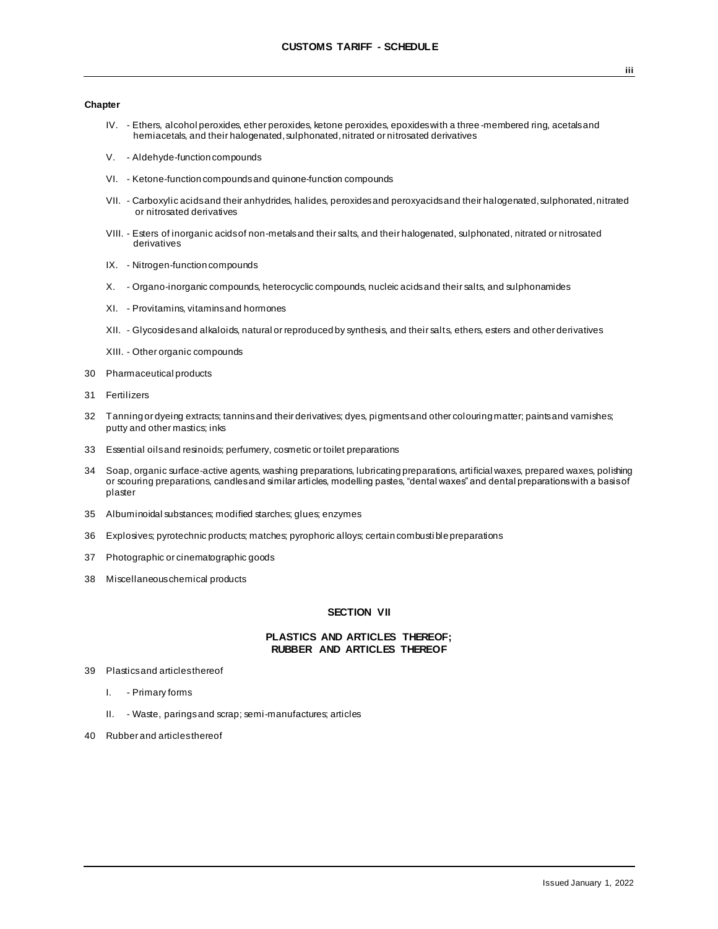- IV. Ethers, alcohol peroxides, ether peroxides, ketone peroxides, epoxides with a three -membered ring, acetals and hemiacetals, and their halogenated, sulphonated, nitrated or nitrosated derivatives
- V. Aldehyde-function compounds
- VI. Ketone-function compounds and quinone-function compounds
- VII. Carboxylic acids and their anhydrides, halides, peroxides and peroxyacids and their halogenated, sulphonated, nitrated or nitrosated derivatives
- VIII. Esters of inorganic acids of non-metals and their salts, and their halogenated, sulphonated, nitrated or nitrosated derivatives
- IX. Nitrogen-function compounds
- X. Organo-inorganic compounds, heterocyclic compounds, nucleic acids and their salts, and sulphonamides
- XI. Provitamins, vitamins and hormones
- XII. Glycosides and alkaloids, natural or reproduced by synthesis, and their salts, ethers, esters and other derivatives
- XIII. Other organic compounds
- 30 Pharmaceutical products
- 31 Fertilizers
- 32 Tanning or dyeing extracts; tannins and their derivatives; dyes, pigments and other colouring matter; paints and varnishes; putty and other mastics; inks
- 33 Essential oils and resinoids; perfumery, cosmetic or toilet preparations
- 34 Soap, organic surface-active agents, washing preparations, lubricating preparations, artificial waxes, prepared waxes, polishing or scouring preparations, candles and similar articles, modelling pastes, "dental waxes" and dental preparations with a basis of plaster
- 35 Albuminoidal substances; modified starches; glues; enzymes
- 36 Explosives; pyrotechnic products; matches; pyrophoric alloys; certain combusti ble preparations
- 37 Photographic or cinematographic goods
- 38 Miscellaneous chemical products

## **SECTION VII**

### **PLASTICS AND ARTICLES THEREOF; RUBBER AND ARTICLES THEREOF**

- 39 Plastics and articles thereof
	- I. Primary forms
	- II. Waste, parings and scrap; semi-manufactures; articles
- 40 Rubber and articles thereof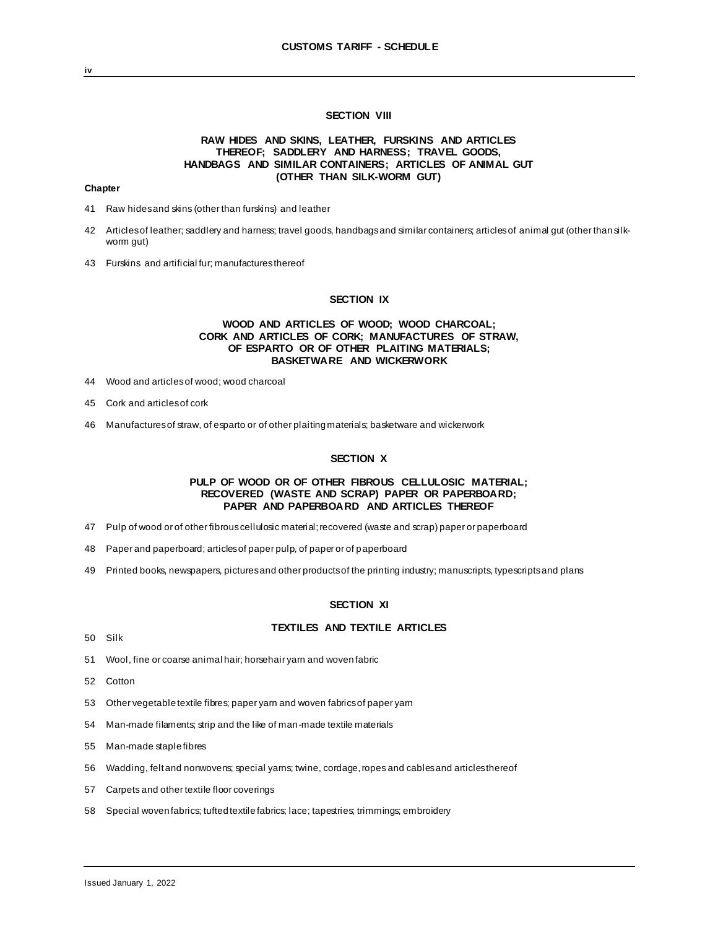## **SECTION VIII**

## **RAW HIDES AND SKINS, LEATHER, FURSKINS AND ARTICLES THEREOF; SADDLERY AND HARNESS; TRAVEL GOODS, HANDBAGS AND SIMILAR CONTAINERS; ARTICLES OF ANIMAL GUT (OTHER THAN SILK-WORM GUT)**

### **Chapter**

- 41 Raw hides and skins (other than furskins) and leather
- 42 Articles of leather; saddlery and harness; travel goods, handbags and similar containers; articles of animal gut (other than silkworm gut)
- 43 Furskins and artificial fur; manufactures thereof

#### **SECTION IX**

## **WOOD AND ARTICLES OF WOOD; WOOD CHARCOAL; CORK AND ARTICLES OF CORK; MANUFACTURES OF STRAW, OF ESPARTO OR OF OTHER PLAITING MATERIALS; BASKETWARE AND WICKERWORK**

- 44 Wood and articles of wood; wood charcoal
- 45 Cork and articles of cork
- 46 Manufactures of straw, of esparto or of other plaiting materials; basketware and wickerwork

### **SECTION X**

### **PULP OF WOOD OR OF OTHER FIBROUS CELLULOSIC MATERIAL; RECOVERED (WASTE AND SCRAP) PAPER OR PAPERBOARD; PAPER AND PAPERBOARD AND ARTICLES THEREOF**

- 47 Pulp of wood or of other fibrous cellulosic material; recovered (waste and scrap) paper or paperboard
- 48 Paper and paperboard; articles of paper pulp, of paper or of paperboard
- 49 Printed books, newspapers, pictures and other products of the printing industry; manuscripts, typescripts and plans

#### **SECTION XI**

### **TEXTILES AND TEXTILE ARTICLES**

- 50 Silk
- 51 Wool, fine or coarse animal hair; horsehair yarn and woven fabric
- 52 Cotton
- 53 Other vegetable textile fibres; paper yarn and woven fabrics of paper yarn
- 54 Man-made filaments; strip and the like of man-made textile materials
- 55 Man-made staple fibres
- 56 Wadding, felt and nonwovens; special yarns; twine, cordage, ropes and cables and articles thereof
- 57 Carpets and other textile floor coverings
- 58 Special woven fabrics; tufted textile fabrics; lace; tapestries; trimmings; embroidery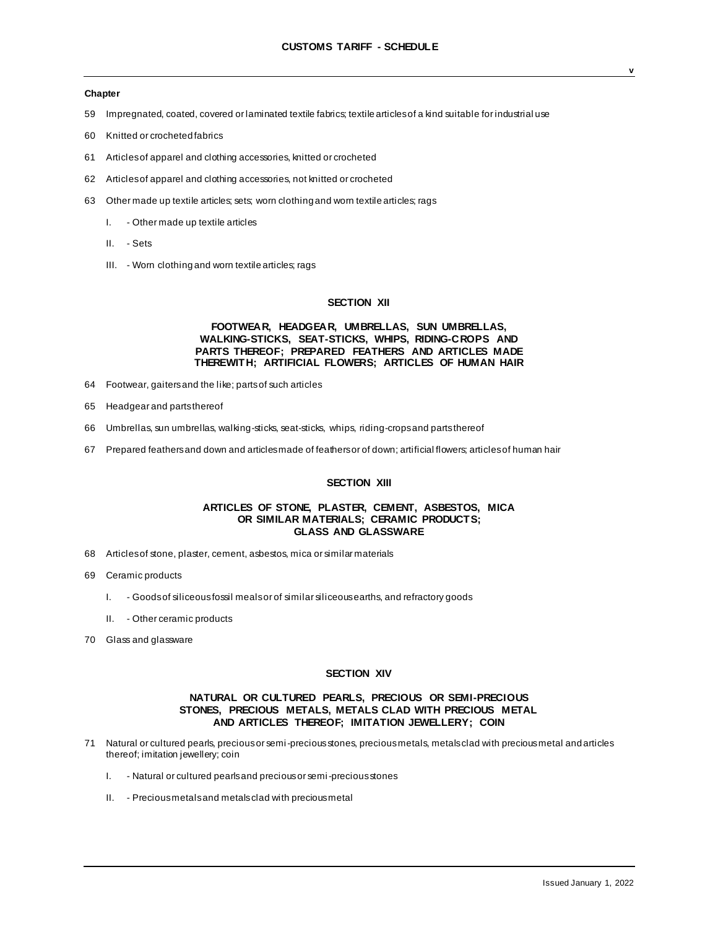- 59 Impregnated, coated, covered or laminated textile fabrics; textile articles of a kind suitable for industrial use
- 60 Knitted or crocheted fabrics
- 61 Articles of apparel and clothing accessories, knitted or crocheted
- 62 Articles of apparel and clothing accessories, not knitted or crocheted
- 63 Other made up textile articles; sets; worn clothing and worn textile articles; rags
	- I. Other made up textile articles
	- II. Sets
	- III. Worn clothing and worn textile articles; rags

## **SECTION XII**

### **FOOTWEAR, HEADGEAR, UMBRELLAS, SUN UMBRELLAS, WALKING-STICKS, SEAT-STICKS, WHIPS, RIDING-CROPS AND PARTS THEREOF; PREPARED FEATHERS AND ARTICLES MADE THEREWITH; ARTIFICIAL FLOWERS; ARTICLES OF HUMAN HAIR**

- 64 Footwear, gaiters and the like; parts of such articles
- 65 Headgear and parts thereof
- 66 Umbrellas, sun umbrellas, walking-sticks, seat-sticks, whips, riding-crops and parts thereof
- 67 Prepared feathers and down and articles made of feathers or of down; artificial flowers; articles of human hair

## **SECTION XIII**

## **ARTICLES OF STONE, PLASTER, CEMENT, ASBESTOS, MICA OR SIMILAR MATERIALS; CERAMIC PRODUCTS; GLASS AND GLASSWARE**

- 68 Articles of stone, plaster, cement, asbestos, mica or similar materials
- 69 Ceramic products
	- I. Goods of siliceous fossil meals or of similar siliceous earths, and refractory goods
	- II. Other ceramic products
- 70 Glass and glassware

### **SECTION XIV**

### **NATURAL OR CULTURED PEARLS, PRECIOUS OR SEMI-PRECIOUS STONES, PRECIOUS METALS, METALS CLAD WITH PRECIOUS METAL AND ARTICLES THEREOF; IMITATION JEWELLERY; COIN**

- 71 Natural or cultured pearls, precious or semi-precious stones, precious metals, metals clad with precious metal and articles thereof; imitation jewellery; coin
	- I. Natural or cultured pearls and precious or semi-precious stones
	- II. Precious metals and metals clad with precious metal

**v**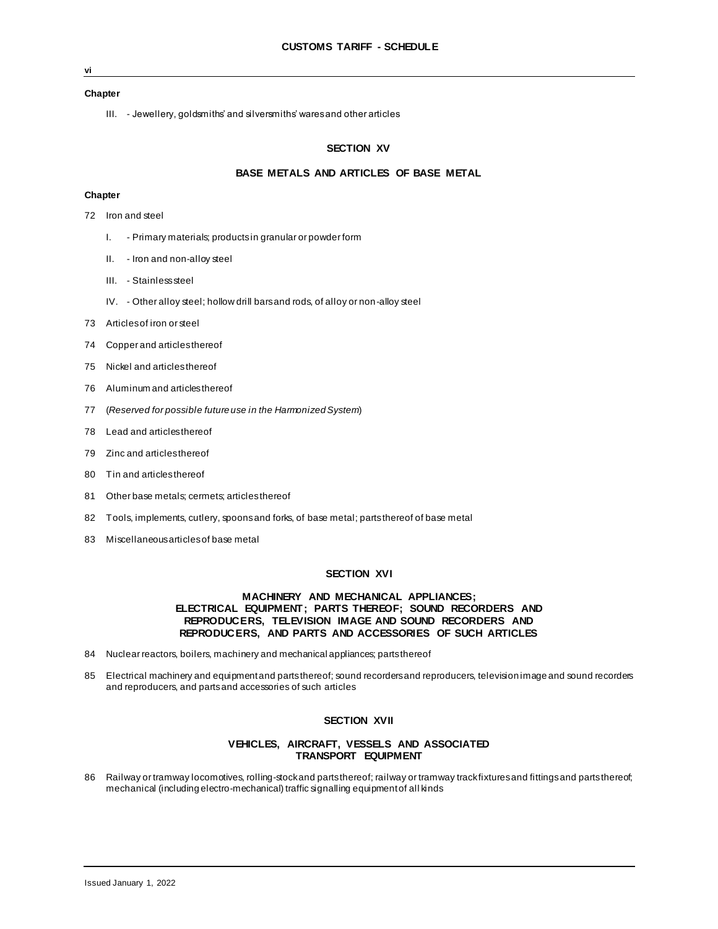**vi**

III. - Jewellery, goldsmiths' and silversmiths' wares and other articles

### **SECTION XV**

## **BASE METALS AND ARTICLES OF BASE METAL**

#### **Chapter**

- 72 Iron and steel
	- I. Primary materials; products in granular or powder form
	- II. Iron and non-alloy steel
	- III. Stainless steel
	- IV. Other alloy steel; hollow drill bars and rods, of alloy or non-alloy steel
- 73 Articles of iron or steel
- 74 Copper and articles thereof
- 75 Nickel and articles thereof
- 76 Aluminum and articles thereof
- 77 (*Reserved for possible future use in the Harmonized System*)
- 78 Lead and articles thereof
- 79 Zinc and articles thereof
- 80 Tin and articles thereof
- 81 Other base metals; cermets; articles thereof
- 82 Tools, implements, cutlery, spoons and forks, of base metal; parts thereof of base metal
- 83 Miscellaneous articles of base metal

## **SECTION XVI**

## **MACHINERY AND MECHANICAL APPLIANCES; ELECTRICAL EQUIPMENT; PARTS THEREOF; SOUND RECORDERS AND REPRODUCERS, TELEVISION IMAGE AND SOUND RECORDERS AND REPRODUCERS, AND PARTS AND ACCESSORIES OF SUCH ARTICLES**

- 84 Nuclear reactors, boilers, machinery and mechanical appliances; parts thereof
- 85 Electrical machinery and equipment and parts thereof; sound recorders and reproducers, television image and sound recorders and reproducers, and parts and accessories of such articles

#### **SECTION XVII**

### **VEHICLES, AIRCRAFT, VESSELS AND ASSOCIATED TRANSPORT EQUIPMENT**

86 Railway or tramway locomotives, rolling-stock and parts thereof; railway or tramway track fixtures and fittings and parts thereof; mechanical (including electro-mechanical) traffic signalling equipment of all kinds